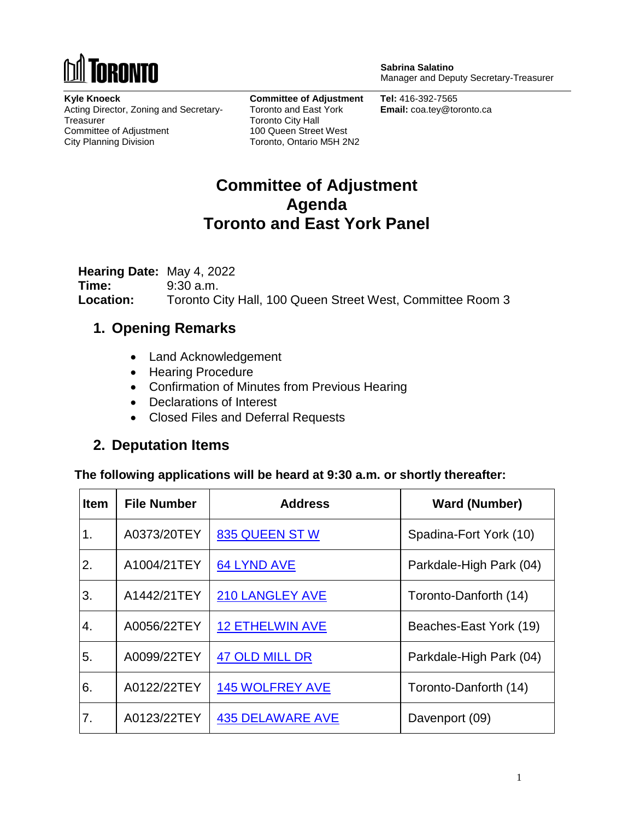

**Sabrina Salatino** Manager and Deputy Secretary-Treasurer

**Kyle Knoeck** Acting Director, Zoning and Secretary-**Treasurer** Committee of Adjustment City Planning Division

**Committee of Adjustment** Toronto and East York Toronto City Hall 100 Queen Street West Toronto, Ontario M5H 2N2

**Tel:** 416-392-7565 **Email:** coa.tey@toronto.ca

## **Committee of Adjustment Agenda Toronto and East York Panel**

**Hearing Date:** May 4, 2022 **Time:** 9:30 a.m. **Location:** Toronto City Hall, 100 Queen Street West, Committee Room 3

#### **1. Opening Remarks**

- Land Acknowledgement
- Hearing Procedure
- Confirmation of Minutes from Previous Hearing
- Declarations of Interest
- Closed Files and Deferral Requests

#### **2. Deputation Items**

**The following applications will be heard at 9:30 a.m. or shortly thereafter:**

| <b>Item</b> | <b>File Number</b> | <b>Address</b>          | <b>Ward (Number)</b>    |
|-------------|--------------------|-------------------------|-------------------------|
| 1.          | A0373/20TEY        | 835 QUEEN STW           | Spadina-Fort York (10)  |
| 2.          | A1004/21TEY        | <b>64 LYND AVE</b>      | Parkdale-High Park (04) |
| 3.          | A1442/21TEY        | <b>210 LANGLEY AVE</b>  | Toronto-Danforth (14)   |
| 4.          | A0056/22TEY        | <b>12 ETHELWIN AVE</b>  | Beaches-East York (19)  |
| 5.          | A0099/22TEY        | <b>47 OLD MILL DR</b>   | Parkdale-High Park (04) |
| 6.          | A0122/22TEY        | <b>145 WOLFREY AVE</b>  | Toronto-Danforth (14)   |
| 7.          | A0123/22TEY        | <b>435 DELAWARE AVE</b> | Davenport (09)          |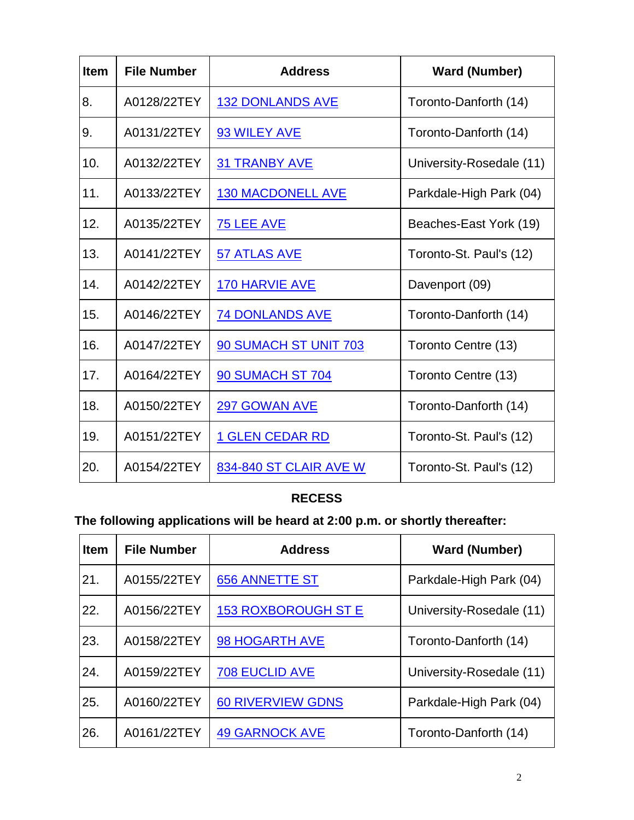| <b>Item</b> | <b>File Number</b> | <b>Address</b>           | <b>Ward (Number)</b>     |
|-------------|--------------------|--------------------------|--------------------------|
| 8.          | A0128/22TEY        | <b>132 DONLANDS AVE</b>  | Toronto-Danforth (14)    |
| 9.          | A0131/22TEY        | 93 WILEY AVE             | Toronto-Danforth (14)    |
| 10.         | A0132/22TEY        | <u>31 TRANBY AVE</u>     | University-Rosedale (11) |
| 11.         | A0133/22TEY        | <b>130 MACDONELL AVE</b> | Parkdale-High Park (04)  |
| 12.         | A0135/22TEY        | <b>75 LEE AVE</b>        | Beaches-East York (19)   |
| 13.         | A0141/22TEY        | 57 ATLAS AVE             | Toronto-St. Paul's (12)  |
| 14.         | A0142/22TEY        | 170 HARVIE AVE           | Davenport (09)           |
| 15.         | A0146/22TEY        | <b>74 DONLANDS AVE</b>   | Toronto-Danforth (14)    |
| 16.         | A0147/22TEY        | 90 SUMACH ST UNIT 703    | Toronto Centre (13)      |
| 17.         | A0164/22TEY        | <b>90 SUMACH ST 704</b>  | Toronto Centre (13)      |
| 18.         | A0150/22TEY        | 297 GOWAN AVE            | Toronto-Danforth (14)    |
| 19.         | A0151/22TEY        | <u>1 GLEN CEDAR RD</u>   | Toronto-St. Paul's (12)  |
| 20.         | A0154/22TEY        | 834-840 ST CLAIR AVE W   | Toronto-St. Paul's (12)  |

#### **RECESS**

# **The following applications will be heard at 2:00 p.m. or shortly thereafter:**

| <b>Item</b> | <b>File Number</b> | <b>Address</b>           | <b>Ward (Number)</b>     |
|-------------|--------------------|--------------------------|--------------------------|
| 21.         | A0155/22TEY        | <b>656 ANNETTE ST</b>    | Parkdale-High Park (04)  |
| 22.         | A0156/22TEY        | 153 ROXBOROUGH ST E      | University-Rosedale (11) |
| 23.         | A0158/22TEY        | 98 HOGARTH AVE           | Toronto-Danforth (14)    |
| 24.         | A0159/22TEY        | <b>708 EUCLID AVE</b>    | University-Rosedale (11) |
| 25.         | A0160/22TEY        | <b>60 RIVERVIEW GDNS</b> | Parkdale-High Park (04)  |
| 26.         | A0161/22TEY        | <b>49 GARNOCK AVE</b>    | Toronto-Danforth (14)    |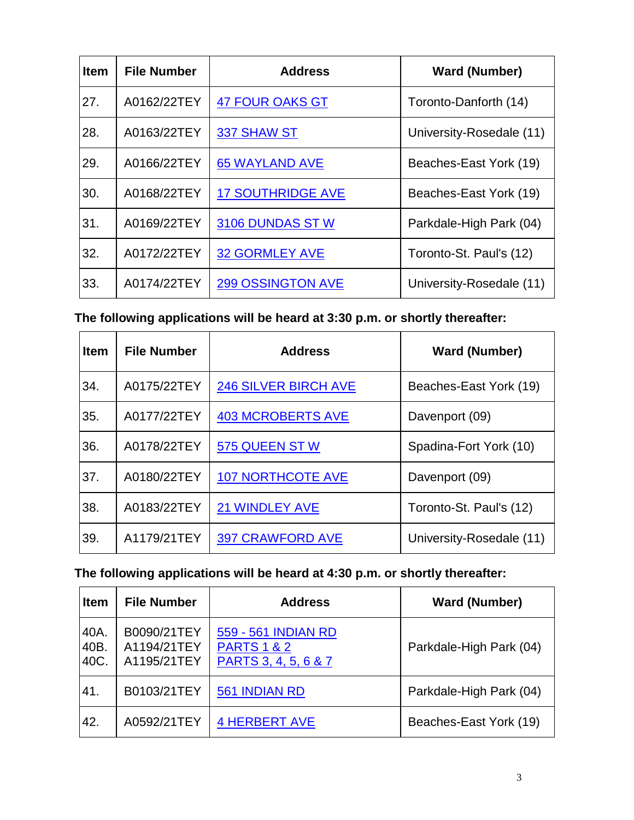| <b>Item</b> | <b>File Number</b> | <b>Address</b>           | <b>Ward (Number)</b>     |
|-------------|--------------------|--------------------------|--------------------------|
| 27.         | A0162/22TEY        | <b>47 FOUR OAKS GT</b>   | Toronto-Danforth (14)    |
| 28.         | A0163/22TEY        | 337 SHAW ST              | University-Rosedale (11) |
| 29.         | A0166/22TEY        | <b>65 WAYLAND AVE</b>    | Beaches-East York (19)   |
| 30.         | A0168/22TEY        | <b>17 SOUTHRIDGE AVE</b> | Beaches-East York (19)   |
| 31.         | A0169/22TEY        | 3106 DUNDAS STW          | Parkdale-High Park (04)  |
| 32.         | A0172/22TEY        | <b>32 GORMLEY AVE</b>    | Toronto-St. Paul's (12)  |
| 33.         | A0174/22TEY        | <b>299 OSSINGTON AVE</b> | University-Rosedale (11) |

**The following applications will be heard at 3:30 p.m. or shortly thereafter:**

| <b>Item</b> | <b>File Number</b> | <b>Address</b>              | <b>Ward (Number)</b>     |
|-------------|--------------------|-----------------------------|--------------------------|
| 34.         | A0175/22TEY        | <b>246 SILVER BIRCH AVE</b> | Beaches-East York (19)   |
| 35.         | A0177/22TEY        | <b>403 MCROBERTS AVE</b>    | Davenport (09)           |
| 36.         | A0178/22TEY        | 575 QUEEN STW               | Spadina-Fort York (10)   |
| 37.         | A0180/22TEY        | <b>107 NORTHCOTE AVE</b>    | Davenport (09)           |
| 38.         | A0183/22TEY        | <b>21 WINDLEY AVE</b>       | Toronto-St. Paul's (12)  |
| 39.         | A1179/21TEY        | <b>397 CRAWFORD AVE</b>     | University-Rosedale (11) |

### **The following applications will be heard at 4:30 p.m. or shortly thereafter:**

| <b>Item</b>          | <b>File Number</b>                        | <b>Address</b>                                                        | <b>Ward (Number)</b>    |
|----------------------|-------------------------------------------|-----------------------------------------------------------------------|-------------------------|
| 40A.<br>40B.<br>40C. | B0090/21TEY<br>A1194/21TEY<br>A1195/21TEY | 559 - 561 INDIAN RD<br><b>PARTS 1 &amp; 2</b><br>PARTS 3, 4, 5, 6 & 7 | Parkdale-High Park (04) |
| 41.                  | B0103/21TEY                               | 561 INDIAN RD                                                         | Parkdale-High Park (04) |
| 42.                  | A0592/21TEY                               | <b>4 HERBERT AVE</b>                                                  | Beaches-East York (19)  |